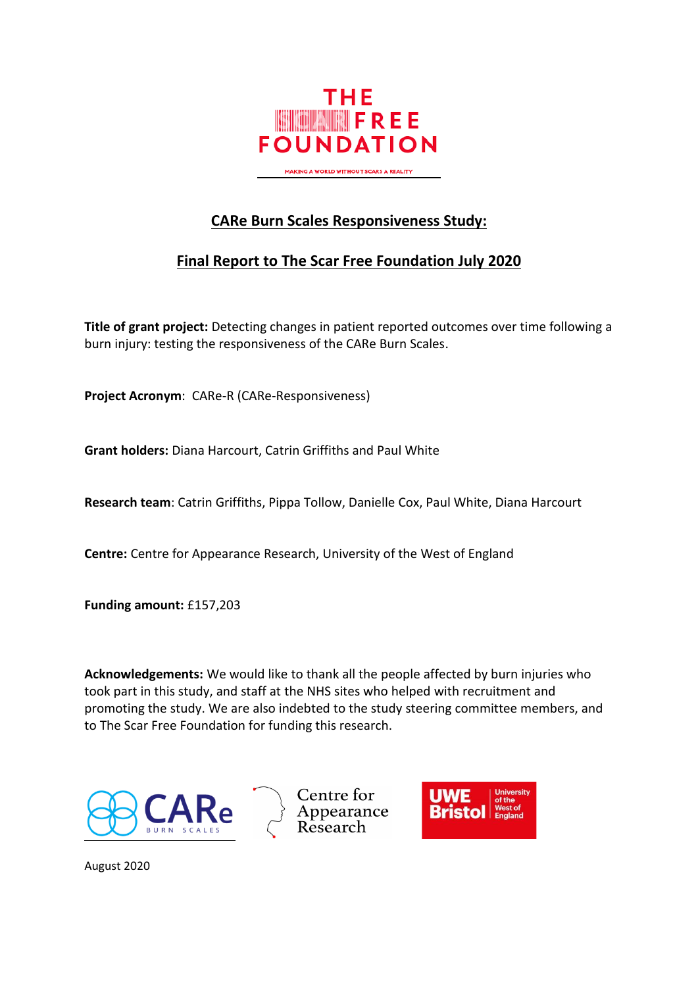

**CARe Burn Scales Responsiveness Study:**

## **Final Report to The Scar Free Foundation July 2020**

**Title of grant project:** Detecting changes in patient reported outcomes over time following a burn injury: testing the responsiveness of the CARe Burn Scales.

**Project Acronym**: CARe-R (CARe-Responsiveness)

**Grant holders:** Diana Harcourt, Catrin Griffiths and Paul White

**Research team**: Catrin Griffiths, Pippa Tollow, Danielle Cox, Paul White, Diana Harcourt

**Centre:** Centre for Appearance Research, University of the West of England

**Funding amount:** £157,203

**Acknowledgements:** We would like to thank all the people affected by burn injuries who took part in this study, and staff at the NHS sites who helped with recruitment and promoting the study. We are also indebted to the study steering committee members, and to The Scar Free Foundation for funding this research.







August 2020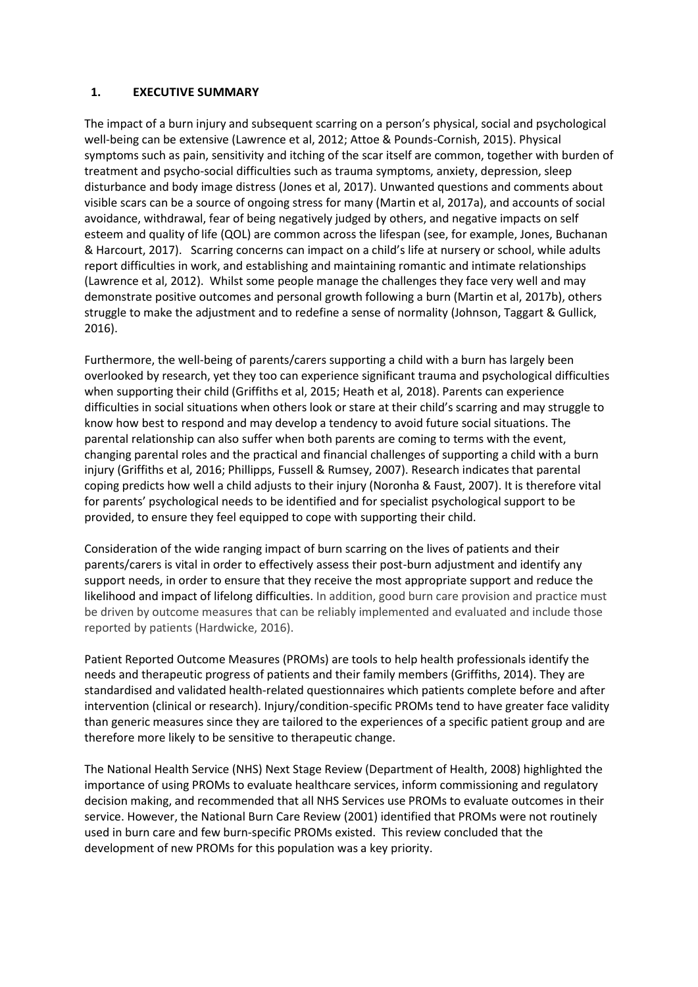## **1. EXECUTIVE SUMMARY**

The impact of a burn injury and subsequent scarring on a person's physical, social and psychological well-being can be extensive (Lawrence et al, 2012; Attoe & Pounds-Cornish, 2015). Physical symptoms such as pain, sensitivity and itching of the scar itself are common, together with burden of treatment and psycho-social difficulties such as trauma symptoms, anxiety, depression, sleep disturbance and body image distress (Jones et al, 2017). Unwanted questions and comments about visible scars can be a source of ongoing stress for many (Martin et al, 2017a), and accounts of social avoidance, withdrawal, fear of being negatively judged by others, and negative impacts on self esteem and quality of life (QOL) are common across the lifespan (see, for example, Jones, Buchanan & Harcourt, 2017). Scarring concerns can impact on a child's life at nursery or school, while adults report difficulties in work, and establishing and maintaining romantic and intimate relationships (Lawrence et al, 2012). Whilst some people manage the challenges they face very well and may demonstrate positive outcomes and personal growth following a burn (Martin et al, 2017b), others struggle to make the adjustment and to redefine a sense of normality (Johnson, Taggart & Gullick, 2016).

Furthermore, the well-being of parents/carers supporting a child with a burn has largely been overlooked by research, yet they too can experience significant trauma and psychological difficulties when supporting their child (Griffiths et al, 2015; Heath et al, 2018). Parents can experience difficulties in social situations when others look or stare at their child's scarring and may struggle to know how best to respond and may develop a tendency to avoid future social situations. The parental relationship can also suffer when both parents are coming to terms with the event, changing parental roles and the practical and financial challenges of supporting a child with a burn injury (Griffiths et al, 2016; Phillipps, Fussell & Rumsey, 2007). Research indicates that parental coping predicts how well a child adjusts to their injury (Noronha & Faust, 2007). It is therefore vital for parents' psychological needs to be identified and for specialist psychological support to be provided, to ensure they feel equipped to cope with supporting their child.

Consideration of the wide ranging impact of burn scarring on the lives of patients and their parents/carers is vital in order to effectively assess their post-burn adjustment and identify any support needs, in order to ensure that they receive the most appropriate support and reduce the likelihood and impact of lifelong difficulties. In addition, good burn care provision and practice must be driven by outcome measures that can be reliably implemented and evaluated and include those reported by patients (Hardwicke, 2016).

Patient Reported Outcome Measures (PROMs) are tools to help health professionals identify the needs and therapeutic progress of patients and their family members (Griffiths, 2014). They are standardised and validated health-related questionnaires which patients complete before and after intervention (clinical or research). Injury/condition-specific PROMs tend to have greater face validity than generic measures since they are tailored to the experiences of a specific patient group and are therefore more likely to be sensitive to therapeutic change.

The National Health Service (NHS) Next Stage Review (Department of Health, 2008) highlighted the importance of using PROMs to evaluate healthcare services, inform commissioning and regulatory decision making, and recommended that all NHS Services use PROMs to evaluate outcomes in their service. However, the National Burn Care Review (2001) identified that PROMs were not routinely used in burn care and few burn-specific PROMs existed. This review concluded that the development of new PROMs for this population was a key priority.